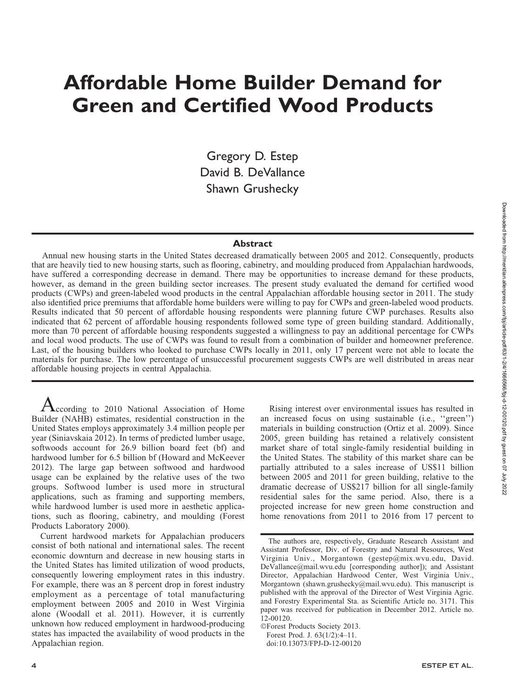# Affordable Home Builder Demand for Green and Certified Wood Products

Gregory D. Estep David B. DeVallance Shawn Grushecky

### **Abstract**

Annual new housing starts in the United States decreased dramatically between 2005 and 2012. Consequently, products that are heavily tied to new housing starts, such as flooring, cabinetry, and moulding produced from Appalachian hardwoods, have suffered a corresponding decrease in demand. There may be opportunities to increase demand for these products, however, as demand in the green building sector increases. The present study evaluated the demand for certified wood products (CWPs) and green-labeled wood products in the central Appalachian affordable housing sector in 2011. The study also identified price premiums that affordable home builders were willing to pay for CWPs and green-labeled wood products. Results indicated that 50 percent of affordable housing respondents were planning future CWP purchases. Results also indicated that 62 percent of affordable housing respondents followed some type of green building standard. Additionally, more than 70 percent of affordable housing respondents suggested a willingness to pay an additional percentage for CWPs and local wood products. The use of CWPs was found to result from a combination of builder and homeowner preference. Last, of the housing builders who looked to purchase CWPs locally in 2011, only 17 percent were not able to locate the materials for purchase. The low percentage of unsuccessful procurement suggests CWPs are well distributed in areas near affordable housing projects in central Appalachia.

According to 2010 National Association of Home Builder (NAHB) estimates, residential construction in the United States employs approximately 3.4 million people per year (Siniavskaia 2012). In terms of predicted lumber usage, softwoods account for 26.9 billion board feet (bf) and hardwood lumber for 6.5 billion bf (Howard and McKeever 2012). The large gap between softwood and hardwood usage can be explained by the relative uses of the two groups. Softwood lumber is used more in structural applications, such as framing and supporting members, while hardwood lumber is used more in aesthetic applications, such as flooring, cabinetry, and moulding (Forest Products Laboratory 2000).

Current hardwood markets for Appalachian producers consist of both national and international sales. The recent economic downturn and decrease in new housing starts in the United States has limited utilization of wood products, consequently lowering employment rates in this industry. For example, there was an 8 percent drop in forest industry employment as a percentage of total manufacturing employment between 2005 and 2010 in West Virginia alone (Woodall et al. 2011). However, it is currently unknown how reduced employment in hardwood-producing states has impacted the availability of wood products in the Appalachian region.

Rising interest over environmental issues has resulted in an increased focus on using sustainable (i.e., ''green'') materials in building construction (Ortiz et al. 2009). Since 2005, green building has retained a relatively consistent market share of total single-family residential building in the United States. The stability of this market share can be partially attributed to a sales increase of US\$11 billion between 2005 and 2011 for green building, relative to the dramatic decrease of US\$217 billion for all single-family residential sales for the same period. Also, there is a projected increase for new green home construction and home renovations from 2011 to 2016 from 17 percent to

The authors are, respectively, Graduate Research Assistant and Assistant Professor, Div. of Forestry and Natural Resources, West Virginia Univ., Morgantown (gestep@mix.wvu.edu, David. DeVallance@mail.wvu.edu [corresponding author]); and Assistant Director, Appalachian Hardwood Center, West Virginia Univ., Morgantown (shawn.grushecky@mail.wvu.edu). This manuscript is published with the approval of the Director of West Virginia Agric. and Forestry Experimental Sta. as Scientific Article no. 3171. This paper was received for publication in December 2012. Article no. 12-00120.

<sup>-</sup>Forest Products Society 2013. Forest Prod. J. 63(1/2):4–11. doi:10.13073/FPJ-D-12-00120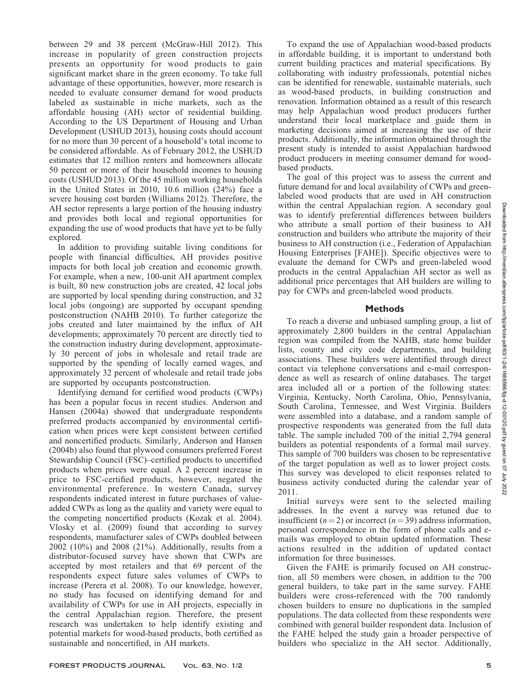between 29 and 38 percent (McGraw-Hill 2012). This increase in popularity of green construction projects presents an opportunity for wood products to gain significant market share in the green economy. To take full advantage of these opportunities, however, more research is needed to evaluate consumer demand for wood products labeled as sustainable in niche markets, such as the affordable housing (AH) sector of residential building. According to the US Department of Housing and Urban Development (USHUD 2013), housing costs should account for no more than 30 percent of a household's total income to be considered affordable. As of February 2012, the USHUD estimates that 12 million renters and homeowners allocate 50 percent or more of their household incomes to housing costs (USHUD 2013). Of the 45 million working households in the United States in 2010, 10.6 million (24%) face a severe housing cost burden (Williams 2012). Therefore, the AH sector represents a large portion of the housing industry and provides both local and regional opportunities for expanding the use of wood products that have yet to be fully explored.

In addition to providing suitable living conditions for people with financial difficulties, AH provides positive impacts for both local job creation and economic growth. For example, when a new, 100-unit AH apartment complex is built, 80 new construction jobs are created, 42 local jobs are supported by local spending during construction, and 32 local jobs (ongoing) are supported by occupant spending postconstruction (NAHB 2010). To further categorize the jobs created and later maintained by the influx of AH developments; approximately 70 percent are directly tied to the construction industry during development, approximately 30 percent of jobs in wholesale and retail trade are supported by the spending of locally earned wages, and approximately 32 percent of wholesale and retail trade jobs are supported by occupants postconstruction.

Identifying demand for certified wood products (CWPs) has been a popular focus in recent studies. Anderson and Hansen (2004a) showed that undergraduate respondents preferred products accompanied by environmental certification when prices were kept consistent between certified and noncertified products. Similarly, Anderson and Hansen (2004b) also found that plywood consumers preferred Forest Stewardship Council (FSC)–certified products to uncertified products when prices were equal. A 2 percent increase in price to FSC-certified products, however, negated the environmental preference. In western Canada, survey respondents indicated interest in future purchases of valueadded CWPs as long as the quality and variety were equal to the competing noncertified products (Kozak et al. 2004). Vlosky et al. (2009) found that according to survey respondents, manufacturer sales of CWPs doubled between 2002 (10%) and 2008 (21%). Additionally, results from a distributor-focused survey have shown that CWPs are accepted by most retailers and that 69 percent of the respondents expect future sales volumes of CWPs to increase (Perera et al. 2008). To our knowledge, however, no study has focused on identifying demand for and availability of CWPs for use in AH projects, especially in the central Appalachian region. Therefore, the present research was undertaken to help identify existing and potential markets for wood-based products, both certified as sustainable and noncertified, in AH markets.

To expand the use of Appalachian wood-based products in affordable building, it is important to understand both current building practices and material specifications. By collaborating with industry professionals, potential niches can be identified for renewable, sustainable materials, such as wood-based products, in building construction and renovation. Information obtained as a result of this research may help Appalachian wood product producers further understand their local marketplace and guide them in marketing decisions aimed at increasing the use of their products. Additionally, the information obtained through the present study is intended to assist Appalachian hardwood product producers in meeting consumer demand for woodbased products.

The goal of this project was to assess the current and future demand for and local availability of CWPs and greenlabeled wood products that are used in AH construction within the central Appalachian region. A secondary goal was to identify preferential differences between builders who attribute a small portion of their business to AH construction and builders who attribute the majority of their business to AH construction (i.e., Federation of Appalachian Housing Enterprises [FAHE]). Specific objectives were to evaluate the demand for CWPs and green-labeled wood products in the central Appalachian AH sector as well as additional price percentages that AH builders are willing to pay for CWPs and green-labeled wood products.

# Methods

To reach a diverse and unbiased sampling group, a list of approximately 2,800 builders in the central Appalachian region was compiled from the NAHB, state home builder lists, county and city code departments, and building associations. These builders were identified through direct contact via telephone conversations and e-mail correspondence as well as research of online databases. The target area included all or a portion of the following states: Virginia, Kentucky, North Carolina, Ohio, Pennsylvania, South Carolina, Tennessee, and West Virginia. Builders were assembled into a database, and a random sample of prospective respondents was generated from the full data table. The sample included 700 of the initial 2,794 general builders as potential respondents of a formal mail survey. This sample of 700 builders was chosen to be representative of the target population as well as to lower project costs. This survey was developed to elicit responses related to business activity conducted during the calendar year of 2011.

Initial surveys were sent to the selected mailing addresses. In the event a survey was retuned due to insufficient ( $n=2$ ) or incorrect ( $n=39$ ) address information, personal correspondence in the form of phone calls and emails was employed to obtain updated information. These actions resulted in the addition of updated contact information for three businesses.

Given the FAHE is primarily focused on AH construction, all 50 members were chosen, in addition to the 700 general builders, to take part in the same survey. FAHE builders were cross-referenced with the 700 randomly chosen builders to ensure no duplications in the sampled populations. The data collected from these respondents were combined with general builder respondent data. Inclusion of the FAHE helped the study gain a broader perspective of builders who specialize in the AH sector. Additionally,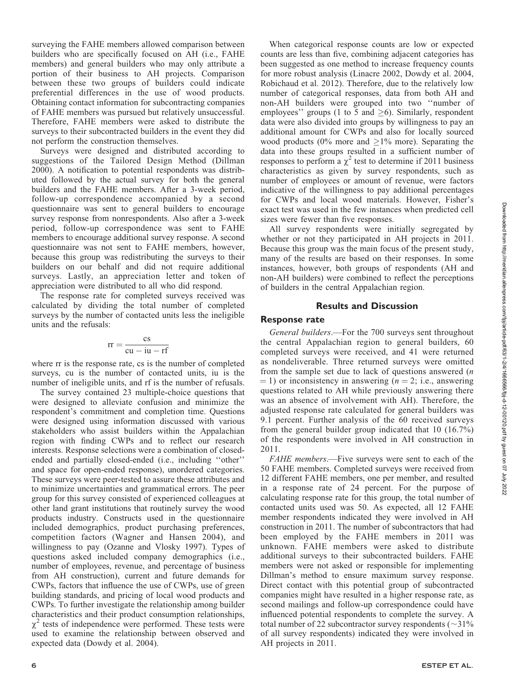surveying the FAHE members allowed comparison between builders who are specifically focused on AH (i.e., FAHE members) and general builders who may only attribute a portion of their business to AH projects. Comparison between these two groups of builders could indicate preferential differences in the use of wood products. Obtaining contact information for subcontracting companies of FAHE members was pursued but relatively unsuccessful. Therefore, FAHE members were asked to distribute the surveys to their subcontracted builders in the event they did not perform the construction themselves.

Surveys were designed and distributed according to suggestions of the Tailored Design Method (Dillman 2000). A notification to potential respondents was distributed followed by the actual survey for both the general builders and the FAHE members. After a 3-week period, follow-up correspondence accompanied by a second questionnaire was sent to general builders to encourage survey response from nonrespondents. Also after a 3-week period, follow-up correspondence was sent to FAHE members to encourage additional survey response. A second questionnaire was not sent to FAHE members, however, because this group was redistributing the surveys to their builders on our behalf and did not require additional surveys. Lastly, an appreciation letter and token of appreciation were distributed to all who did respond.

The response rate for completed surveys received was calculated by dividing the total number of completed surveys by the number of contacted units less the ineligible units and the refusals:

$$
rr = \frac{cs}{cu - iu - rf}
$$

where  $rr$  is the response rate, cs is the number of completed surveys, cu is the number of contacted units, iu is the number of ineligible units, and rf is the number of refusals.

The survey contained 23 multiple-choice questions that were designed to alleviate confusion and minimize the respondent's commitment and completion time. Questions were designed using information discussed with various stakeholders who assist builders within the Appalachian region with finding CWPs and to reflect our research interests. Response selections were a combination of closedended and partially closed-ended (i.e., including ''other'' and space for open-ended response), unordered categories. These surveys were peer-tested to assure these attributes and to minimize uncertainties and grammatical errors. The peer group for this survey consisted of experienced colleagues at other land grant institutions that routinely survey the wood products industry. Constructs used in the questionnaire included demographics, product purchasing preferences, competition factors (Wagner and Hansen 2004), and willingness to pay (Ozanne and Vlosky 1997). Types of questions asked included company demographics (i.e., number of employees, revenue, and percentage of business from AH construction), current and future demands for CWPs, factors that influence the use of CWPs, use of green building standards, and pricing of local wood products and CWPs. To further investigate the relationship among builder characteristics and their product consumption relationships,  $\chi^2$  tests of independence were performed. These tests were used to examine the relationship between observed and expected data (Dowdy et al. 2004).

When categorical response counts are low or expected counts are less than five, combining adjacent categories has been suggested as one method to increase frequency counts for more robust analysis (Linacre 2002, Dowdy et al. 2004, Robichaud et al. 2012). Therefore, due to the relatively low number of categorical responses, data from both AH and non-AH builders were grouped into two ''number of employees'' groups (1 to 5 and  $\geq$ 6). Similarly, respondent data were also divided into groups by willingness to pay an additional amount for CWPs and also for locally sourced wood products (0% more and  $\geq$ 1% more). Separating the data into these groups resulted in a sufficient number of responses to perform a  $\chi^2$  test to determine if 2011 business characteristics as given by survey respondents, such as number of employees or amount of revenue, were factors indicative of the willingness to pay additional percentages for CWPs and local wood materials. However, Fisher's exact test was used in the few instances when predicted cell sizes were fewer than five responses.

All survey respondents were initially segregated by whether or not they participated in AH projects in 2011. Because this group was the main focus of the present study, many of the results are based on their responses. In some instances, however, both groups of respondents (AH and non-AH builders) were combined to reflect the perceptions of builders in the central Appalachian region.

## Results and Discussion

# Response rate

General builders.—For the 700 surveys sent throughout the central Appalachian region to general builders, 60 completed surveys were received, and 41 were returned as nondeliverable. Three returned surveys were omitted from the sample set due to lack of questions answered  $(n)$  $(1)$  or inconsistency in answering ( $n = 2$ ; i.e., answering questions related to AH while previously answering there was an absence of involvement with AH). Therefore, the adjusted response rate calculated for general builders was 9.1 percent. Further analysis of the 60 received surveys from the general builder group indicated that 10 (16.7%) of the respondents were involved in AH construction in 2011.

FAHE members.—Five surveys were sent to each of the 50 FAHE members. Completed surveys were received from 12 different FAHE members, one per member, and resulted in a response rate of 24 percent. For the purpose of calculating response rate for this group, the total number of contacted units used was 50. As expected, all 12 FAHE member respondents indicated they were involved in AH construction in 2011. The number of subcontractors that had been employed by the FAHE members in 2011 was unknown. FAHE members were asked to distribute additional surveys to their subcontracted builders. FAHE members were not asked or responsible for implementing Dillman's method to ensure maximum survey response. Direct contact with this potential group of subcontracted companies might have resulted in a higher response rate, as second mailings and follow-up correspondence could have influenced potential respondents to complete the survey. A total number of 22 subcontractor survey respondents  $(\sim 31\%$ of all survey respondents) indicated they were involved in AH projects in 2011.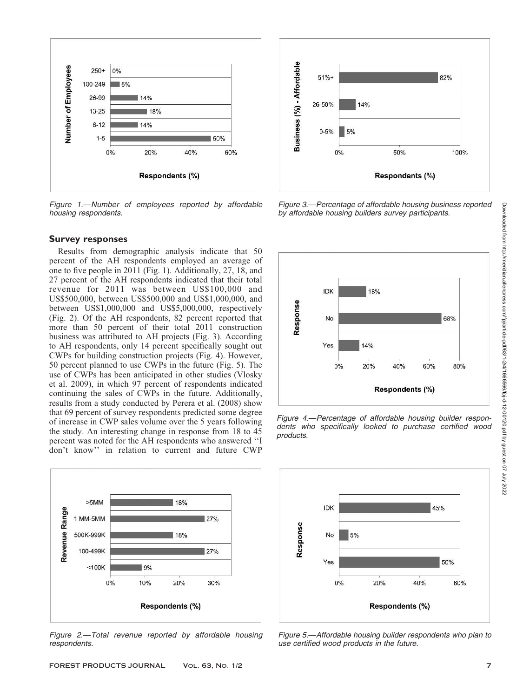

Figure 1.—Number of employees reported by affordable housing respondents.

#### Survey responses

Results from demographic analysis indicate that 50 percent of the AH respondents employed an average of one to five people in 2011 (Fig. 1). Additionally, 27, 18, and 27 percent of the AH respondents indicated that their total revenue for 2011 was between US\$100,000 and US\$500,000, between US\$500,000 and US\$1,000,000, and between US\$1,000,000 and US\$5,000,000, respectively (Fig. 2). Of the AH respondents, 82 percent reported that more than 50 percent of their total 2011 construction business was attributed to AH projects (Fig. 3). According to AH respondents, only 14 percent specifically sought out CWPs for building construction projects (Fig. 4). However, 50 percent planned to use CWPs in the future (Fig. 5). The use of CWPs has been anticipated in other studies (Vlosky et al. 2009), in which 97 percent of respondents indicated continuing the sales of CWPs in the future. Additionally, results from a study conducted by Perera et al. (2008) show that 69 percent of survey respondents predicted some degree of increase in CWP sales volume over the 5 years following the study. An interesting change in response from 18 to 45 percent was noted for the AH respondents who answered ''I don't know'' in relation to current and future CWP



Figure 2.—Total revenue reported by affordable housing respondents.



Figure 3.—Percentage of affordable housing business reported by affordable housing builders survey participants.



Figure 4.—Percentage of affordable housing builder respondents who specifically looked to purchase certified wood products.



Figure 5.—Affordable housing builder respondents who plan to use certified wood products in the future.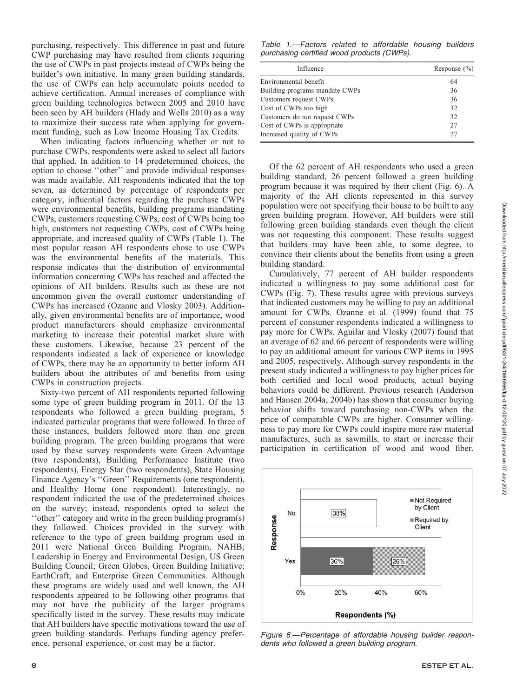purchasing, respectively. This difference in past and future CWP purchasing may have resulted from clients requiring the use of CWPs in past projects instead of CWPs being the builder's own initiative. In many green building standards, the use of CWPs can help accumulate points needed to achieve certification. Annual increases of compliance with green building technologies between 2005 and 2010 have been seen by AH builders (Hlady and Wells 2010) as a way to maximize their success rate when applying for government funding, such as Low Income Housing Tax Credits.

When indicating factors influencing whether or not to purchase CWPs, respondents were asked to select all factors that applied. In addition to 14 predetermined choices, the option to choose ''other'' and provide individual responses was made available. AH respondents indicated that the top seven, as determined by percentage of respondents per category, influential factors regarding the purchase CWPs were environmental benefits, building programs mandating CWPs, customers requesting CWPs, cost of CWPs being too high, customers not requesting CWPs, cost of CWPs being appropriate, and increased quality of CWPs (Table 1). The most popular reason AH respondents chose to use CWPs was the environmental benefits of the materials. This response indicates that the distribution of environmental information concerning CWPs has reached and affected the opinions of AH builders. Results such as these are not uncommon given the overall customer understanding of CWPs has increased (Ozanne and Vlosky 2003). Additionally, given environmental benefits are of importance, wood product manufacturers should emphasize environmental marketing to increase their potential market share with these customers. Likewise, because 23 percent of the respondents indicated a lack of experience or knowledge of CWPs, there may be an opportunity to better inform AH builders about the attributes of and benefits from using CWPs in construction projects.

Sixty-two percent of AH respondents reported following some type of green building program in 2011. Of the 13 respondents who followed a green building program, 5 indicated particular programs that were followed. In three of these instances, builders followed more than one green building program. The green building programs that were used by these survey respondents were Green Advantage (two respondents), Building Performance Institute (two respondents), Energy Star (two respondents), State Housing Finance Agency's ''Green'' Requirements (one respondent), and Healthy Home (one respondent). Interestingly, no respondent indicated the use of the predetermined choices on the survey; instead, respondents opted to select the ''other'' category and write in the green building program(s) they followed. Choices provided in the survey with reference to the type of green building program used in 2011 were National Green Building Program, NAHB; Leadership in Energy and Environmental Design, US Green Building Council; Green Globes, Green Building Initiative; EarthCraft; and Enterprise Green Communities. Although these programs are widely used and well known, the AH respondents appeared to be following other programs that may not have the publicity of the larger programs specifically listed in the survey. These results may indicate that AH builders have specific motivations toward the use of green building standards. Perhaps funding agency preference, personal experience, or cost may be a factor.

Table 1.—Factors related to affordable housing builders purchasing certified wood products (CWPs).

| Influence                      | Response $(\% )$ |
|--------------------------------|------------------|
| Environmental benefit          | 64               |
| Building programs mandate CWPs | 36               |
| Customers request CWPs         | 36               |
| Cost of CWPs too high          | 32               |
| Customers do not request CWPs  | 32               |
| Cost of CWPs is appropriate    | 27               |
| Increased quality of CWPs      | 27               |

Of the 62 percent of AH respondents who used a green building standard, 26 percent followed a green building program because it was required by their client (Fig. 6). A majority of the AH clients represented in this survey population were not specifying their house to be built to any green building program. However, AH builders were still following green building standards even though the client was not requesting this component. These results suggest that builders may have been able, to some degree, to convince their clients about the benefits from using a green building standard.

Cumulatively, 77 percent of AH builder respondents indicated a willingness to pay some additional cost for CWPs (Fig. 7). These results agree with previous surveys that indicated customers may be willing to pay an additional amount for CWPs. Ozanne et al. (1999) found that 75 percent of consumer respondents indicated a willingness to pay more for CWPs. Aguilar and Vlosky (2007) found that an average of 62 and 66 percent of respondents were willing to pay an additional amount for various CWP items in 1995 and 2005, respectively. Although survey respondents in the present study indicated a willingness to pay higher prices for both certified and local wood products, actual buying behaviors could be different. Previous research (Anderson and Hansen 2004a, 2004b) has shown that consumer buying behavior shifts toward purchasing non-CWPs when the price of comparable CWPs are higher. Consumer willingness to pay more for CWPs could inspire more raw material manufactures, such as sawmills, to start or increase their participation in certification of wood and wood fiber.



Figure 6.—Percentage of affordable housing builder respondents who followed a green building program.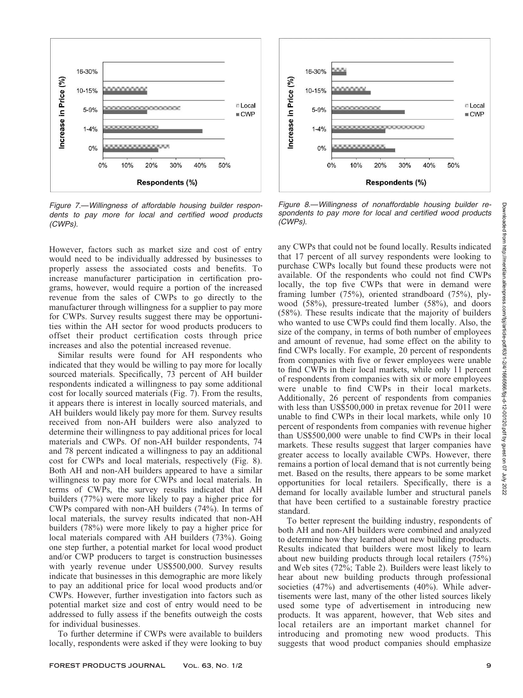

Figure 7.—Willingness of affordable housing builder respondents to pay more for local and certified wood products (CWPs).

However, factors such as market size and cost of entry would need to be individually addressed by businesses to properly assess the associated costs and benefits. To increase manufacturer participation in certification programs, however, would require a portion of the increased revenue from the sales of CWPs to go directly to the manufacturer through willingness for a supplier to pay more for CWPs. Survey results suggest there may be opportunities within the AH sector for wood products producers to offset their product certification costs through price increases and also the potential increased revenue.

Similar results were found for AH respondents who indicated that they would be willing to pay more for locally sourced materials. Specifically, 73 percent of AH builder respondents indicated a willingness to pay some additional cost for locally sourced materials (Fig. 7). From the results, it appears there is interest in locally sourced materials, and AH builders would likely pay more for them. Survey results received from non-AH builders were also analyzed to determine their willingness to pay additional prices for local materials and CWPs. Of non-AH builder respondents, 74 and 78 percent indicated a willingness to pay an additional cost for CWPs and local materials, respectively (Fig. 8). Both AH and non-AH builders appeared to have a similar willingness to pay more for CWPs and local materials. In terms of CWPs, the survey results indicated that AH builders (77%) were more likely to pay a higher price for CWPs compared with non-AH builders (74%). In terms of local materials, the survey results indicated that non-AH builders (78%) were more likely to pay a higher price for local materials compared with AH builders (73%). Going one step further, a potential market for local wood product and/or CWP producers to target is construction businesses with yearly revenue under US\$500,000. Survey results indicate that businesses in this demographic are more likely to pay an additional price for local wood products and/or CWPs. However, further investigation into factors such as potential market size and cost of entry would need to be addressed to fully assess if the benefits outweigh the costs for individual businesses.

To further determine if CWPs were available to builders locally, respondents were asked if they were looking to buy



Figure 8.—Willingness of nonaffordable housing builder respondents to pay more for local and certified wood products (CWPs).

any CWPs that could not be found locally. Results indicated that 17 percent of all survey respondents were looking to purchase CWPs locally but found these products were not available. Of the respondents who could not find CWPs locally, the top five CWPs that were in demand were framing lumber (75%), oriented strandboard (75%), plywood (58%), pressure-treated lumber (58%), and doors (58%). These results indicate that the majority of builders who wanted to use CWPs could find them locally. Also, the size of the company, in terms of both number of employees and amount of revenue, had some effect on the ability to find CWPs locally. For example, 20 percent of respondents from companies with five or fewer employees were unable to find CWPs in their local markets, while only 11 percent of respondents from companies with six or more employees were unable to find CWPs in their local markets. Additionally, 26 percent of respondents from companies with less than US\$500,000 in pretax revenue for 2011 were unable to find CWPs in their local markets, while only 10 percent of respondents from companies with revenue higher than US\$500,000 were unable to find CWPs in their local markets. These results suggest that larger companies have greater access to locally available CWPs. However, there remains a portion of local demand that is not currently being met. Based on the results, there appears to be some market opportunities for local retailers. Specifically, there is a demand for locally available lumber and structural panels that have been certified to a sustainable forestry practice standard.

To better represent the building industry, respondents of both AH and non-AH builders were combined and analyzed to determine how they learned about new building products. Results indicated that builders were most likely to learn about new building products through local retailers (75%) and Web sites (72%; Table 2). Builders were least likely to hear about new building products through professional societies (47%) and advertisements (40%). While advertisements were last, many of the other listed sources likely used some type of advertisement in introducing new products. It was apparent, however, that Web sites and local retailers are an important market channel for introducing and promoting new wood products. This suggests that wood product companies should emphasize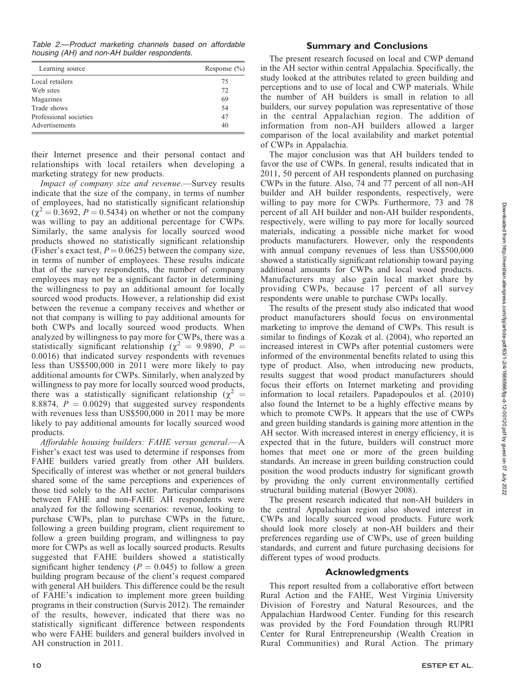| Table 2.—Product marketing channels based on affordable |  |  |  |
|---------------------------------------------------------|--|--|--|
| housing (AH) and non-AH builder respondents.            |  |  |  |

| Learning source        | Response $(\% )$ |
|------------------------|------------------|
| Local retailers        | 75               |
| Web sites              | 72               |
| Magazines              | 69               |
| Trade shows            | 54               |
| Professional societies | 47               |
| Advertisements         | 40               |

their Internet presence and their personal contact and relationships with local retailers when developing a marketing strategy for new products.

Impact of company size and revenue.—Survey results indicate that the size of the company, in terms of number of employees, had no statistically significant relationship  $(\chi^2 = 0.3692, P = 0.5434)$  on whether or not the company was willing to pay an additional percentage for CWPs. Similarly, the same analysis for locally sourced wood products showed no statistically significant relationship (Fisher's exact test,  $P = 0.0625$ ) between the company size, in terms of number of employees. These results indicate that of the survey respondents, the number of company employees may not be a significant factor in determining the willingness to pay an additional amount for locally sourced wood products. However, a relationship did exist between the revenue a company receives and whether or not that company is willing to pay additional amounts for both CWPs and locally sourced wood products. When analyzed by willingness to pay more for CWPs, there was a statistically significant relationship ( $\chi^2$  = 9.9890, P = 0.0016) that indicated survey respondents with revenues less than US\$500,000 in 2011 were more likely to pay additional amounts for CWPs. Similarly, when analyzed by willingness to pay more for locally sourced wood products, there was a statistically significant relationship ( $\chi^2$  = 8.8874,  $P = 0.0029$ ) that suggested survey respondents with revenues less than US\$500,000 in 2011 may be more likely to pay additional amounts for locally sourced wood products.

Affordable housing builders: FAHE versus general.—A Fisher's exact test was used to determine if responses from FAHE builders varied greatly from other AH builders. Specifically of interest was whether or not general builders shared some of the same perceptions and experiences of those tied solely to the AH sector. Particular comparisons between FAHE and non-FAHE AH respondents were analyzed for the following scenarios: revenue, looking to purchase CWPs, plan to purchase CWPs in the future, following a green building program, client requirement to follow a green building program, and willingness to pay more for CWPs as well as locally sourced products. Results suggested that FAHE builders showed a statistically significant higher tendency ( $P = 0.045$ ) to follow a green building program because of the client's request compared with general AH builders. This difference could be the result of FAHE's indication to implement more green building programs in their construction (Survis 2012). The remainder of the results, however, indicated that there was no statistically significant difference between respondents who were FAHE builders and general builders involved in AH construction in 2011.

# Summary and Conclusions

The present research focused on local and CWP demand in the AH sector within central Appalachia. Specifically, the study looked at the attributes related to green building and perceptions and to use of local and CWP materials. While the number of AH builders is small in relation to all builders, our survey population was representative of those in the central Appalachian region. The addition of information from non-AH builders allowed a larger comparison of the local availability and market potential of CWPs in Appalachia.

The major conclusion was that AH builders tended to favor the use of CWPs. In general, results indicated that in 2011, 50 percent of AH respondents planned on purchasing CWPs in the future. Also, 74 and 77 percent of all non-AH builder and AH builder respondents, respectively, were willing to pay more for CWPs. Furthermore, 73 and 78 percent of all AH builder and non-AH builder respondents, respectively, were willing to pay more for locally sourced materials, indicating a possible niche market for wood products manufacturers. However, only the respondents with annual company revenues of less than US\$500,000 showed a statistically significant relationship toward paying additional amounts for CWPs and local wood products. Manufacturers may also gain local market share by providing CWPs, because 17 percent of all survey respondents were unable to purchase CWPs locally.

The results of the present study also indicated that wood product manufacturers should focus on environmental marketing to improve the demand of CWPs. This result is similar to findings of Kozak et al. (2004), who reported an increased interest in CWPs after potential customers were informed of the environmental benefits related to using this type of product. Also, when introducing new products, results suggest that wood product manufacturers should focus their efforts on Internet marketing and providing information to local retailers. Papadopoulos et al. (2010) also found the Internet to be a highly effective means by which to promote CWPs. It appears that the use of CWPs and green building standards is gaining more attention in the AH sector. With increased interest in energy efficiency, it is expected that in the future, builders will construct more homes that meet one or more of the green building standards. An increase in green building construction could position the wood products industry for significant growth by providing the only current environmentally certified structural building material (Bowyer 2008).

The present research indicated that non-AH builders in the central Appalachian region also showed interest in CWPs and locally sourced wood products. Future work should look more closely at non-AH builders and their preferences regarding use of CWPs, use of green building standards, and current and future purchasing decisions for different types of wood products.

#### Acknowledgments

This report resulted from a collaborative effort between Rural Action and the FAHE, West Virginia University Division of Forestry and Natural Resources, and the Appalachian Hardwood Center. Funding for this research was provided by the Ford Foundation through RUPRI Center for Rural Entrepreneurship (Wealth Creation in Rural Communities) and Rural Action. The primary